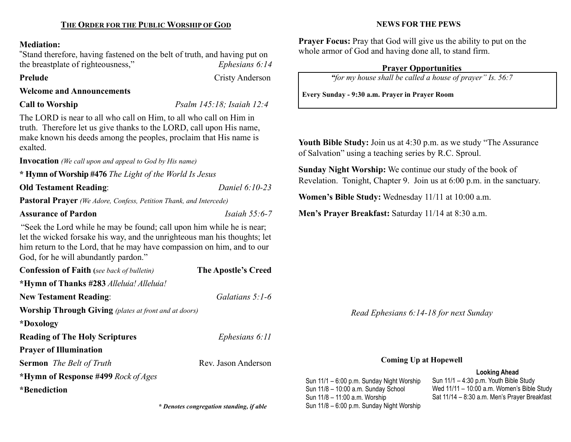### Mediation:

"Stand therefore, having fastened on the belt of truth, and having put on the breastplate of righteousness," Ephesians 6:14

Prelude Cristy Anderson

# Welcome and Announcements

Call to Worship Psalm 145:18; Isaiah 12:4

The LORD is near to all who call on Him, to all who call on Him in truth. Therefore let us give thanks to the LORD, call upon His name, make known his deeds among the peoples, proclaim that His name is exalted.

Invocation *(We call upon and appeal to God by His name)* 

\* Hymn of Worship #476 The Light of the World Is Jesus

Old Testament Reading: Daniel 6:10-23

Pastoral Prayer (We Adore, Confess, Petition Thank, and Intercede)

## Assurance of Pardon **Islamic Islamic Islamic Islamic Islamic Islamic Islamic Islamic Islamic Islamic Islamic Islamic Islamic Islamic Islamic Islamic Islamic Islamic Islamic Islamic Islamic Islamic Islamic Islamic Islamic I**

"Seek the Lord while he may be found; call upon him while he is near; let the wicked forsake his way, and the unrighteous man his thoughts; let him return to the Lord, that he may have compassion on him, and to our God, for he will abundantly pardon."

| <b>Confession of Faith</b> (see back of bulletin)            | <b>The Apostle's Creed</b> |  |
|--------------------------------------------------------------|----------------------------|--|
| *Hymn of Thanks #283 Alleluia! Alleluia!                     |                            |  |
| <b>New Testament Reading:</b>                                | Galatians 5:1-6            |  |
| <b>Worship Through Giving</b> (plates at front and at doors) |                            |  |
| *Doxology                                                    |                            |  |
| <b>Reading of The Holy Scriptures</b>                        | Ephesians 6:11             |  |
| <b>Prayer of Illumination</b>                                |                            |  |
| <b>Sermon</b> The Belt of Truth                              | Rev. Jason Anderson        |  |
| *Hymn of Response #499 Rock of Ages                          |                            |  |
| *Benediction                                                 |                            |  |
|                                                              |                            |  |

## NEWS FOR THE PEWS

Prayer Focus: Pray that God will give us the ability to put on the whole armor of God and having done all, to stand firm.

# Prayer Opportunities

"for my house shall be called a house of prayer" Is. 56:7

Every Sunday - 9:30 a.m. Prayer in Prayer Room

Youth Bible Study: Join us at 4:30 p.m. as we study "The Assurance of Salvation" using a teaching series by R.C. Sproul.

Sunday Night Worship: We continue our study of the book of Revelation. Tonight, Chapter 9. Join us at 6:00 p.m. in the sanctuary.

Women's Bible Study: Wednesday 11/11 at 10:00 a.m.

Men's Prayer Breakfast: Saturday 11/14 at 8:30 a.m.

Read Ephesians 6:14-18 for next Sunday

# Coming Up at Hopewell

# Looking Ahead

Sun 11/1 – 6:00 p.m. Sunday Night Worship Sun 11/8 – 10:00 a.m. Sunday School Sun 11/8 – 11:00 a.m. Worship \* Denotes congregation standing, if able Sun 11/8 – 6:00 p.m. Sunday Night Worship

Sun 11/1 – 4:30 p.m. Youth Bible Study Wed 11/11 – 10:00 a.m. Women's Bible Study Sat 11/14 – 8:30 a.m. Men's Prayer Breakfast